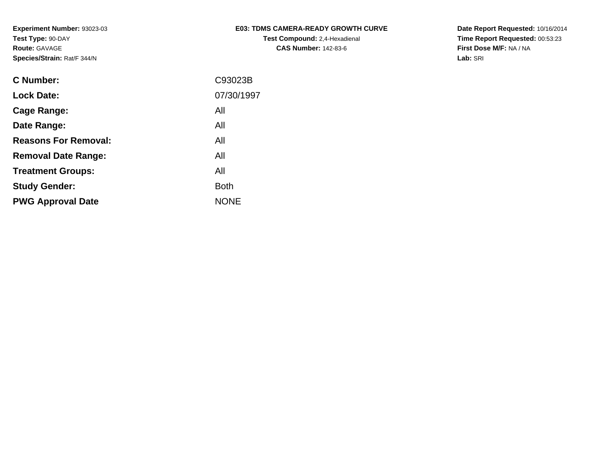### **E03: TDMS CAMERA-READY GROWTH CURVETest Compound:** 2,4-Hexadienal **CAS Number:** 142-83-6

**Date Report Requested:** 10/16/2014 **Time Report Requested:** 00:53:23**First Dose M/F:** NA / NA**Lab:** SRI

| <b>C Number:</b>            | C93023B     |
|-----------------------------|-------------|
| <b>Lock Date:</b>           | 07/30/1997  |
| <b>Cage Range:</b>          | All         |
| Date Range:                 | All         |
| <b>Reasons For Removal:</b> | All         |
| <b>Removal Date Range:</b>  | All         |
| <b>Treatment Groups:</b>    | All         |
| <b>Study Gender:</b>        | <b>Both</b> |
| <b>PWG Approval Date</b>    | <b>NONE</b> |
|                             |             |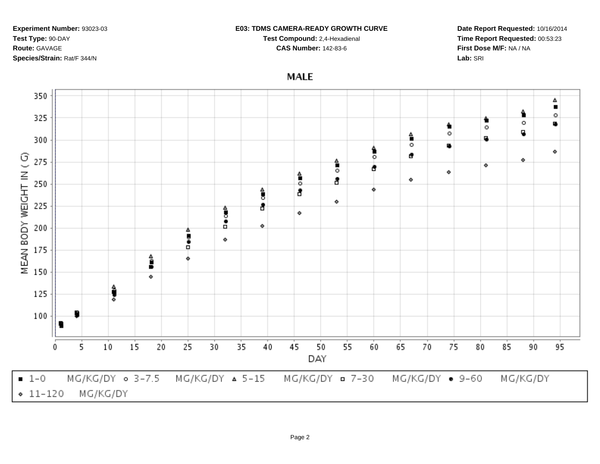#### **E03: TDMS CAMERA-READY GROWTH CURVE**

**Test Compound:** 2,4-Hexadienal **CAS Number:** 142-83-6

**Date Report Requested:** 10/16/2014**Time Report Requested:** 00:53:23**First Dose M/F:** NA / NA**Lab:** SRI

# **MALE**

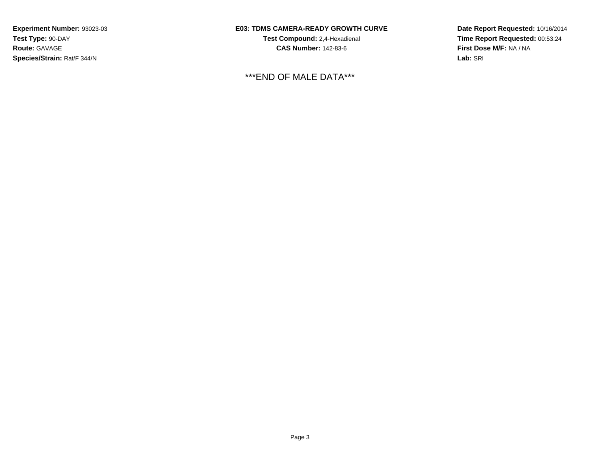## **E03: TDMS CAMERA-READY GROWTH CURVE**

**Test Compound:** 2,4-Hexadienal **CAS Number:** 142-83-6

\*\*\*END OF MALE DATA\*\*\*

**Date Report Requested:** 10/16/2014**Time Report Requested:** 00:53:24**First Dose M/F:** NA / NA**Lab:** SRI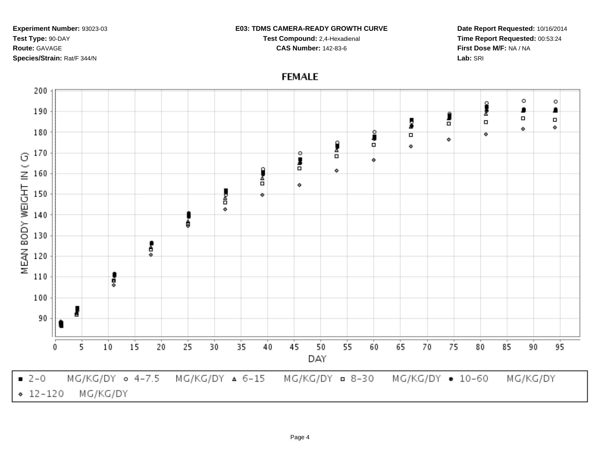#### **E03: TDMS CAMERA-READY GROWTH CURVE**

**Test Compound:** 2,4-Hexadienal **CAS Number:** 142-83-6

**Date Report Requested:** 10/16/2014**Time Report Requested:** 00:53:24**First Dose M/F:** NA / NA**Lab:** SRI



## **FEMALE**